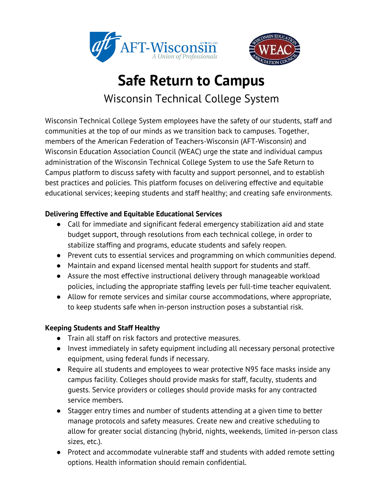



## **Safe Return to Campus** Wisconsin Technical College System

Wisconsin Technical College System employees have the safety of our students, staff and communities at the top of our minds as we transition back to campuses. Together, members of the American Federation of Teachers-Wisconsin (AFT-Wisconsin) and Wisconsin Education Association Council (WEAC) urge the state and individual campus administration of the Wisconsin Technical College System to use the Safe Return to Campus platform to discuss safety with faculty and support personnel, and to establish best practices and policies. This platform focuses on delivering effective and equitable educational services; keeping students and staff healthy; and creating safe environments.

## **Delivering Effective and Equitable Educational Services**

- **●** Call for immediate and significant federal emergency stabilization aid and state budget support, through resolutions from each technical college, in order to stabilize staffing and programs, educate students and safely reopen.
- **●** Prevent cuts to essential services and programming on which communities depend.
- **●** Maintain and expand licensed mental health support for students and staff.
- **●** Assure the most effective instructional delivery through manageable workload policies, including the appropriate staffing levels per full-time teacher equivalent.
- **●** Allow for remote services and similar course accommodations, where appropriate, to keep students safe when in-person instruction poses a substantial risk.

## **Keeping Students and Staff Healthy**

- Train all staff on risk factors and protective measures.
- Invest immediately in safety equipment including all necessary personal protective equipment, using federal funds if necessary.
- Require all students and employees to wear protective N95 face masks inside any campus facility. Colleges should provide masks for staff, faculty, students and guests. Service providers or colleges should provide masks for any contracted service members.
- Stagger entry times and number of students attending at a given time to better manage protocols and safety measures. Create new and creative scheduling to allow for greater social distancing (hybrid, nights, weekends, limited in-person class sizes, etc.).
- Protect and accommodate vulnerable staff and students with added remote setting options. Health information should remain confidential.